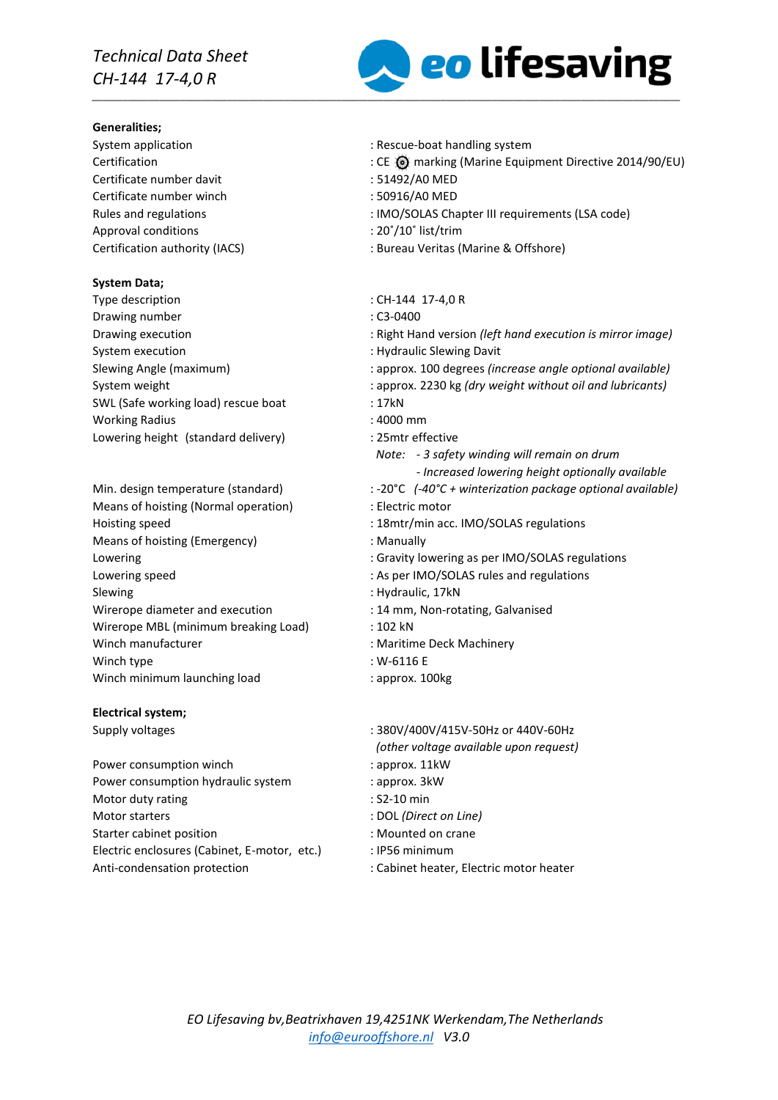### **Generalities;**

Certificate number davit : 51492/A0 MED Certificate number winch : 50916/A0 MED Approval conditions  $\cdot$  20°/10° list/trim

# **System Data;**

Type description  $\blacksquare$  : CH-144 17-4,0 R Drawing number : C3-0400 System execution **System** execution **in the system** of  $\mathbf{S}$  . Hydraulic Slewing Davit SWL (Safe working load) rescue boat : 17kN Working Radius : 4000 mm Lowering height (standard delivery) : 25mtr effective

Means of hoisting (Normal operation) : Electric motor Hoisting speed : 18mtr/min acc. IMO/SOLAS regulations Means of hoisting (Emergency) : Manually Lowering speed  $\blacksquare$ : As per IMO/SOLAS rules and regulations Slewing : Hydraulic, 17kN Wirerope diameter and execution : 14 mm, Non-rotating, Galvanised Wirerope MBL (minimum breaking Load) : 102 kN Winch manufacturer **in the COV** is Maritime Deck Machinery Winch type  $\cdot$  W-6116 E Winch minimum launching load : approx. 100kg

# **Electrical system;**

Power consumption winch  $\blacksquare$  : approx. 11kW Power consumption hydraulic system : approx. 3kW Motor duty rating example of the state of the S2-10 min Motor starters : DOL *(Direct on Line)* Starter cabinet position **in the case of the case of the case of the case of the case of the case of the case of the case of the case of the case of the case of the case of the case of the case of the case of the case of t** Electric enclosures (Cabinet, E-motor, etc.) : IP56 minimum Anti-condensation protection : Cabinet heater, Electric motor heater



- System application  $\sim$  Rescue-boat handling system
- CE @ marking (Marine Equipment Directive 2014/90/EU) : CE @ marking (Marine Equipment Directive 2014/90/EU)
	-
	-
- Rules and regulations : IMO/SOLAS Chapter III requirements (LSA code)
	-
- Certification authority (IACS) : Bureau Veritas (Marine & Offshore)
	-
	-
- Drawing execution : Right Hand version *(left hand execution is mirror image)*
	-
- Slewing Angle (maximum) : approx. 100 degrees *(increase angle optional available)*
- System weight **intervals in a set of the system weight without oil and lubricants)** 
	-
	-
	-
	- *Note: - 3 safety winding will remain on drum - Increased lowering height optionally available*
- Min. design temperature (standard) : -20°C (-40°C + winterization package optional available)
	-
	-
	-
- Lowering the contract of the contract of Gravity lowering as per IMO/SOLAS regulations
	- -
	-
	-
	-
	-
	-
- Supply voltages : 380V/400V/415V-50Hz or 440V-60Hz *(other voltage available upon request)*
	-
	-